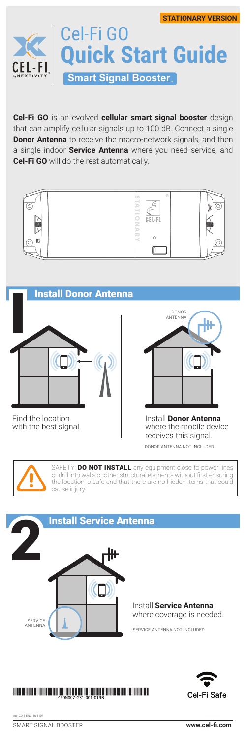

**Cel-Fi GO** is an evolved **cellular smart signal booster** design that can amplify cellular signals up to 100 dB. Connect a single **Donor Antenna** to receive the macro-network signals, and then a single indoor **Service Antenna** where you need service, and **Cel-Fi GO** will do the rest automatically.





DONOR ANTENNA NOT INCLUDED



SAFETY: **DO NOT INSTALL** any equipment close to power lines or drill into walls or other structural elements without first ensuring the location is safe and that there are no hidden items that could cause injury.



## 

SMART SIGNAL BOOSTER **www.cel-fi.com** qsg\_GO-S-ENG\_16-1107

Cel-Fi Safe